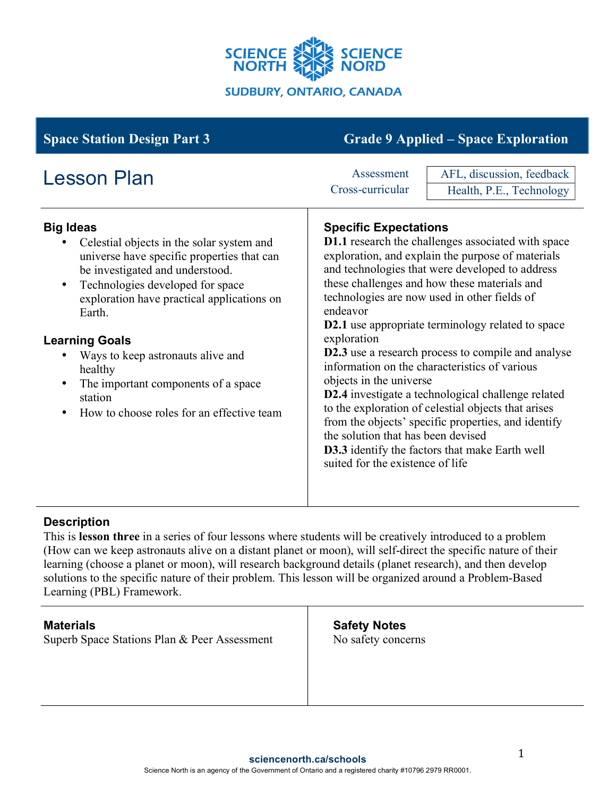

| <b>Space Station Design Part 3</b>                                                                                                                                                                                                                                                                                                                                                                                                                        | <b>Grade 9 Applied – Space Exploration</b>                                                                                                                                                                                                                                                                                                                                                                                                                                                                                                                                                                                                                                                                                                                                                                                        |
|-----------------------------------------------------------------------------------------------------------------------------------------------------------------------------------------------------------------------------------------------------------------------------------------------------------------------------------------------------------------------------------------------------------------------------------------------------------|-----------------------------------------------------------------------------------------------------------------------------------------------------------------------------------------------------------------------------------------------------------------------------------------------------------------------------------------------------------------------------------------------------------------------------------------------------------------------------------------------------------------------------------------------------------------------------------------------------------------------------------------------------------------------------------------------------------------------------------------------------------------------------------------------------------------------------------|
| <b>Lesson Plan</b>                                                                                                                                                                                                                                                                                                                                                                                                                                        | AFL, discussion, feedback<br>Assessment<br>Cross-curricular<br>Health, P.E., Technology                                                                                                                                                                                                                                                                                                                                                                                                                                                                                                                                                                                                                                                                                                                                           |
| <b>Big Ideas</b><br>Celestial objects in the solar system and<br>universe have specific properties that can<br>be investigated and understood.<br>Technologies developed for space<br>$\bullet$<br>exploration have practical applications on<br>Earth.<br><b>Learning Goals</b><br>Ways to keep astronauts alive and<br>healthy<br>The important components of a space<br>$\bullet$<br>station<br>How to choose roles for an effective team<br>$\bullet$ | <b>Specific Expectations</b><br><b>D1.1</b> research the challenges associated with space<br>exploration, and explain the purpose of materials<br>and technologies that were developed to address<br>these challenges and how these materials and<br>technologies are now used in other fields of<br>endeavor<br><b>D2.1</b> use appropriate terminology related to space<br>exploration<br><b>D2.3</b> use a research process to compile and analyse<br>information on the characteristics of various<br>objects in the universe<br>D2.4 investigate a technological challenge related<br>to the exploration of celestial objects that arises<br>from the objects' specific properties, and identify<br>the solution that has been devised<br>D3.3 identify the factors that make Earth well<br>suited for the existence of life |

## **Description**

This is **lesson three** in a series of four lessons where students will be creatively introduced to a problem (How can we keep astronauts alive on a distant planet or moon), will self-direct the specific nature of their learning (choose a planet or moon), will research background details (planet research), and then develop solutions to the specific nature of their problem. This lesson will be organized around a Problem-Based Learning (PBL) Framework.

| <b>Materials</b><br>Superb Space Stations Plan & Peer Assessment | <b>Safety Notes</b><br>No safety concerns |
|------------------------------------------------------------------|-------------------------------------------|
|                                                                  |                                           |
|                                                                  |                                           |